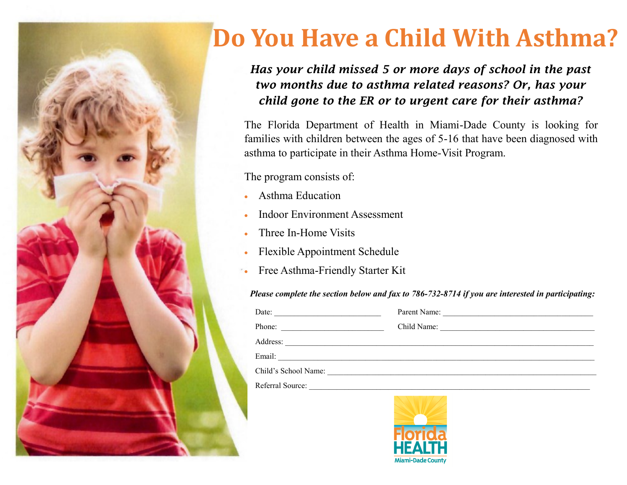

# **Do You Have a Child With Asthma?**

#### *Has your child missed 5 or more days of school in the past two months due to asthma related reasons? Or, has your child gone to the ER or to urgent care for their asthma?*

The Florida Department of Health in Miami-Dade County is looking for families with children between the ages of 5-16 that have been diagnosed with asthma to participate in their Asthma Home-Visit Program.

The program consists of:

- Asthma Education
- Indoor Environment Assessment
- Three In-Home Visits
- Flexible Appointment Schedule
- Free Asthma-Friendly Starter Kit

#### *Please complete the section below and fax to 786-732-8714 if you are interested in participating:*

| Date:<br><u> 1980 - Johann John Stein, mars an deutscher Stein (</u> |             |
|----------------------------------------------------------------------|-------------|
| Phone:                                                               | Child Name: |
| Address:                                                             |             |
| Email:                                                               |             |
| Child's School Name:                                                 |             |
| Referral Source:                                                     |             |